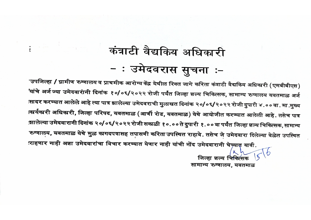## कंत्राटी वैद्यकिय अधिकारी - : उमेदवरास सुचना :-

'उपजिल्हा / ग्रामीण रुग्णालय व प्राथमीक आरोग्य केंद्र येथील रिक्त जागे करिता कंत्राटी वैद्यकिय अधिकारी (एमबीबीएस) 'यांचे अर्ज ज्या उमेदवारांनी दिनांक १०/०६/२०२२ रोजी पर्यंत जिल्हा शल्य चिकित्सक, सामान्य रुग्णालय यवतमाळ अर्ज त्सादर करण्यात आलेले आहे त्या पात्र झालेल्या उमेदवराची मुलाखत दिनांक २०/०६/२०२२ रोजी दुपारी ४.००वा. मा.मुख्य ।कार्यकारी अधिकारी, जिल्हा परिषद, यवतमाळ (आर्णी रोड, यवतमाळ) येथे आयोजीत करण्यात आलेली आहे. तसेच पात्र झालेल्या उमेदवारानी दिनांक २०/०६/२०२२ रोजी सकाळी १०.००ते दुपारी १.००वा पर्यंत जिल्हा शल्य चिकित्सक, सामान्य रुग्णालय, यवतमाळ येथे मुळ कागदपत्रासह तपासणी करिता उपस्थित राहावे. तसेच जे उमेदवारा दिलेल्या वेळेत उपस्थित राहणार नाही अक्षा उमेदवारांचा विचार करण्यात येणार नाही यांची नोंद उमेदवारानी घेण्याल यावी.

> जिल्हा शल्य चिकित्सक सामान्य रुग्णालय, यवतमाळ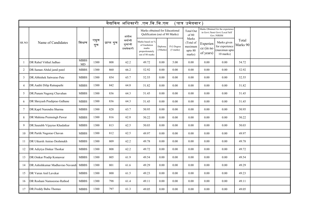| वैद्यकिय अधिकारी .एम.बि.बि.एस<br>$\,$ पात्र उमेदवार $\,$ |                                  |                   |             |             |                                         |                                                                                 |                     |                                   |                                                    |                                                                                  |                                                             |                   |  |
|----------------------------------------------------------|----------------------------------|-------------------|-------------|-------------|-----------------------------------------|---------------------------------------------------------------------------------|---------------------|-----------------------------------|----------------------------------------------------|----------------------------------------------------------------------------------|-------------------------------------------------------------|-------------------|--|
|                                                          | Name of Candidates               | शिक्षण            | एकुण<br>गुण | प्राप्त गुण | अंतीम<br>वर्षाची<br>गूणांची<br>टककेवारी | Marks obtained for Educational<br>Qulification (out of 80 Marks)                |                     |                                   | Total Out<br>of $80$                               | Marks Obtained for the experience<br>in Govt./Semi Govt./Local Self<br>Gov./NRHM |                                                             |                   |  |
| SR.NO                                                    |                                  |                   |             |             |                                         | Marks based on %<br>of Gardution<br>marks<br>proportionately<br>out of 80 marks | Diploma<br>(3Marks) | P.G Degree<br>$(5 \text{ marks})$ | Marks<br>(Total of<br>maximum<br>upto 80<br>marks) | Experien<br>ce (in no<br>of years)                                               | Marks given<br>for experience<br>(maximun upto<br>10 marks) | Total<br>Marks 90 |  |
| $\mathbf{1}$                                             | DR Rahul Vitthal Jadhao          | <b>MBBS</b><br>MD | 1300        | 808         | 62.2                                    | 49.72                                                                           | 0.00                | 5.00                              | 0.00                                               | 0.00                                                                             | 0.00                                                        | 54.72             |  |
| $\overline{2}$                                           | DR.Saman Abdul jamil patel       | <b>MBBS</b>       | 1300        | 860         | 66.2                                    | 52.92                                                                           | 0.00                | 0.00                              | 0.00                                               | $0.00\,$                                                                         | 0.00                                                        | 52.92             |  |
| 3                                                        | DR.Abhishek Satwarao Pate        | <b>MBBS</b>       | 1300        | 854         | 65.7                                    | 52.55                                                                           | 0.00                | 0.00                              | 0.00                                               | $0.00\,$                                                                         | 0.00                                                        | 52.55             |  |
| 4                                                        | DR. Aaditi Dilip Ratnaparhi      | <b>MBBS</b>       | 1300        | 842         | 64.8                                    | 51.82                                                                           | 0.00                | 0.00                              | 0.00                                               | $0.00\,$                                                                         | 0.00                                                        | 51.82             |  |
| 5                                                        | DR.Punam Nagoraj Chavahan        | <b>MBBS</b>       | 1300        | 836         | 64.3                                    | 51.45                                                                           | 0.00                | 0.00                              | 0.00                                               | 0.00                                                                             | 0.00                                                        | 51.45             |  |
| 6                                                        | DR Shreyash Pradiprao Gulhane    | <b>MBBS</b>       | 1300        | 836         | 64.3                                    | 51.45                                                                           | 0.00                | 0.00                              | 0.00                                               | $0.00\,$                                                                         | 0.00                                                        | 51.45             |  |
| 7                                                        | DR.Kapil Narendra Sharma         | <b>MBBS</b>       | 1300        | 828         | 63.7                                    | 50.95                                                                           | 0.00                | 0.00                              | 0.00                                               | 0.00                                                                             | 0.00                                                        | 50.95             |  |
| 8                                                        | DR Mahima Premsingh Pawar        | <b>MBBS</b>       | 1300        | 816         | 62.8                                    | 50.22                                                                           | 0.00                | 0.00                              | 0.00                                               | 0.00                                                                             | 0.00                                                        | 50.22             |  |
| $\mathbf Q$                                              | DR.Saurabh Vijayrao Khadatkar    | <b>MBBS</b>       | 1300        | 813         | 62.5                                    | 50.03                                                                           | 0.00                | 0.00                              | 0.00                                               | $0.00\,$                                                                         | 0.00                                                        | 50.03             |  |
| 10                                                       | DR Partik Nagorao Chavan         | <b>MBBS</b>       | 1300        | 812         | 62.5                                    | 49.97                                                                           | 0.00                | 0.00                              | 0.00                                               | 0.00                                                                             | 0.00                                                        | 49.97             |  |
| 11                                                       | DR Utkarsh Anirao Deshmukh       | <b>MBBS</b>       | 1300        | 809         | 62.2                                    | 49.78                                                                           | 0.00                | 0.00                              | 0.00                                               | $0.00\,$                                                                         | 0.00                                                        | 49.78             |  |
| 12                                                       | DR Adiytya Dinkar Thorkar        | <b>MBBS</b>       | 1300        | 808         | 62.2                                    | 49.72                                                                           | 0.00                | 0.00                              | 0.00                                               | 0.00                                                                             | 0.00                                                        | 49.72             |  |
| 13                                                       | DR.Omkar Pradip Komawar          | <b>MBBS</b>       | 1300        | 805         | 61.9                                    | 49.54                                                                           | 0.00                | 0.00                              | 0.00                                               | 0.00                                                                             | 0.00                                                        | 49.54             |  |
| 14                                                       | DR.Ashishkumar Madhavrao Navandi | <b>MBBS</b>       | 1300        | 801         | 61.6                                    | 49.29                                                                           | 0.00                | 0.00                              | 0.00                                               | 0.00                                                                             | 0.00                                                        | 49.29             |  |
| 15                                                       | DR Varun Anil Lavekar            | <b>MBBS</b>       | 1300        | 800         | 61.5                                    | 49.23                                                                           | 0.00                | 0.00                              | 0.00                                               | $0.00\,$                                                                         | 0.00                                                        | 49.23             |  |
| 16                                                       | DR Roshani Namoeorao Rathod      | <b>MBBS</b>       | 1300        | 798         | 61.4                                    | 49.11                                                                           | 0.00                | 0.00                              | 0.00                                               | $0.00\,$                                                                         | 0.00                                                        | 49.11             |  |
| 17                                                       | DR.Freddy Babu Thomas            | <b>MBBS</b>       | 1300        | 797         | 61.3                                    | 49.05                                                                           | 0.00                | 0.00                              | 0.00                                               | 0.00                                                                             | 0.00                                                        | 49.05             |  |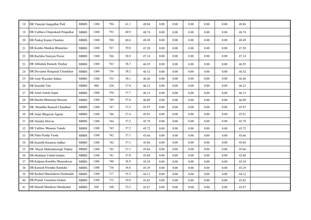| 18 | DR Vinayak Gangadhar Patil       | <b>MBBS</b> | 1300 | 794 | 61.1 | 48.86 | 0.00     | 0.00     | 0.00     | 0.00 | 0.00 | 48.86 |  |
|----|----------------------------------|-------------|------|-----|------|-------|----------|----------|----------|------|------|-------|--|
| 19 | DR. Vaibhavi Omprakash Pimpalkar | <b>MBBS</b> | 1300 | 792 | 60.9 | 48.74 | 0.00     | 0.00     | $0.00\,$ | 0.00 | 0.00 | 48.74 |  |
| 20 | DR Pankaj Kumar Chauhan          | <b>MBBS</b> | 1300 | 788 | 60.6 | 48.49 | $0.00\,$ | 0.00     | $0.00\,$ | 0.00 | 0.00 | 48.49 |  |
| 21 | DR.Kunika Shankar Bhanarkar      | <b>MBBS</b> | 1300 | 767 | 59.0 | 47.20 | 0.00     | 0.00     | $0.00\,$ | 0.00 | 0.00 | 47.20 |  |
| 22 | DR.Ruchika Narayan Pawar         | <b>MBBS</b> | 1300 | 766 | 58.9 | 47.14 | 0.00     | 0.00     | 0.00     | 0.00 | 0.00 | 47.14 |  |
| 23 | DR Abhishek Ramesh Thorkar       | <b>MBBS</b> | 1300 | 763 | 58.7 | 46.95 | 0.00     | 0.00     | 0.00     | 0.00 | 0.00 | 46.95 |  |
| 24 | DR.Devyanee Rangraoji Chandekar  | <b>MBBS</b> | 1300 | 756 | 58.2 | 46.52 | 0.00     | 0.00     | 0.00     | 0.00 | 0.00 | 46.52 |  |
| 25 | DR.Amit Wasudeo Sidam            | <b>MBBS</b> | 1300 | 755 | 58.1 | 46.46 | 0.00     | 0.00     | 0.00     | 0.00 | 0.00 | 46.46 |  |
| 26 | DR Sourabh Tate                  | <b>MBBS</b> | 900  | 520 | 57.8 | 46.22 | 0.00     | 0.00     | 0.00     | 0.00 | 0.00 | 46.22 |  |
| 27 | DR Amol Ashok Gupta              | <b>MBBS</b> | 1300 | 750 | 57.7 | 46.15 | 0.00     | 0.00     | 0.00     | 0.00 | 0.00 | 46.15 |  |
| 28 | DR.Harshit Bhimraoji Bawane      | <b>MBBS</b> | 1300 | 749 | 57.6 | 46.09 | 0.00     | 0.00     | 0.00     | 0.00 | 0.00 | 46.09 |  |
| 29 | DR. Shraddha Ramesh Chaudhari    | <b>MBBS</b> | 1300 | 747 | 57.5 | 45.97 | 0.00     | 0.00     | 0.00     | 0.00 | 0.00 | 45.97 |  |
| 30 | DR Amar Bhagwan Agame            | <b>MBBS</b> | 1300 | 746 | 57.4 | 45.91 | 0.00     | 0.00     | $0.00\,$ | 0.00 | 0.00 | 45.91 |  |
| 31 | DR Jitendra Shrivas              | <b>MBBS</b> | 1300 | 744 | 57.2 | 45.78 | 0.00     | 0.00     | 0.00     | 0.00 | 0.00 | 45.78 |  |
| 32 | DR Vaibhav Bhaurao Tumde         | <b>MBBS</b> | 1300 | 743 | 57.2 | 45.72 | 0.00     | 0.00     | 0.00     | 0.00 | 0.00 | 45.72 |  |
| 33 | DR.Naha Pradip Yende             | <b>MBBS</b> | 1300 | 742 | 57.1 | 45.66 | 0.00     | 0.00     | $0.00\,$ | 0.00 | 0.00 | 45.66 |  |
| 34 | DR.Sourabh Kisanrao Jadhav       | <b>MBBS</b> | 1300 | 742 | 57.1 | 45.66 | 0.00     | 0.00     | 0.00     | 0.00 | 0.00 | 45.66 |  |
| 35 | DR. Mayur Mahendrasingh Thakur   | <b>MBBS</b> | 1300 | 742 | 57.1 | 45.66 | 0.00     | 0.00     | 0.00     | 0.00 | 0.00 | 45.66 |  |
| 36 | DR.Shubham Vitthal Gedam         | <b>MBBS</b> | 1300 | 741 | 57.0 | 45.60 | 0.00     | $0.00\,$ | $0.00\,$ | 0.00 | 0.00 | 45.60 |  |
| 37 | DR.Kalpana Kondiba Dhannakwar    | <b>MBBS</b> | 1300 | 740 | 56.9 | 45.54 | 0.00     | 0.00     | 0.00     | 0.00 | 0.00 | 45.54 |  |
| 38 | DR.Kamesh Premdas Ramteke        | <b>MBBS</b> | 1300 | 736 | 56.6 | 45.29 | 0.00     | $0.00\,$ | 0.00     | 0.00 | 0.00 | 45.29 |  |
| 39 | DR Rashmi Manchakrao Deshmukh    | <b>MBBS</b> | 1300 | 717 | 55.2 | 44.12 | 0.00     | $0.00\,$ | $0.00\,$ | 0.00 | 0.00 | 44.12 |  |
| 40 | DR.Pranali Vasantrao Gedam       | <b>MBBS</b> | 1300 | 712 | 54.8 | 43.82 | 0.00     | $0.00\,$ | $0.00\,$ | 0.00 | 0.00 | 43.82 |  |
| 41 | DR.Manish Manikrao Mandaokar     | <b>MBBS</b> | 300  | 160 | 53.3 | 42.67 | 0.00     | 0.00     | $0.00\,$ | 0.00 | 0.00 | 42.67 |  |